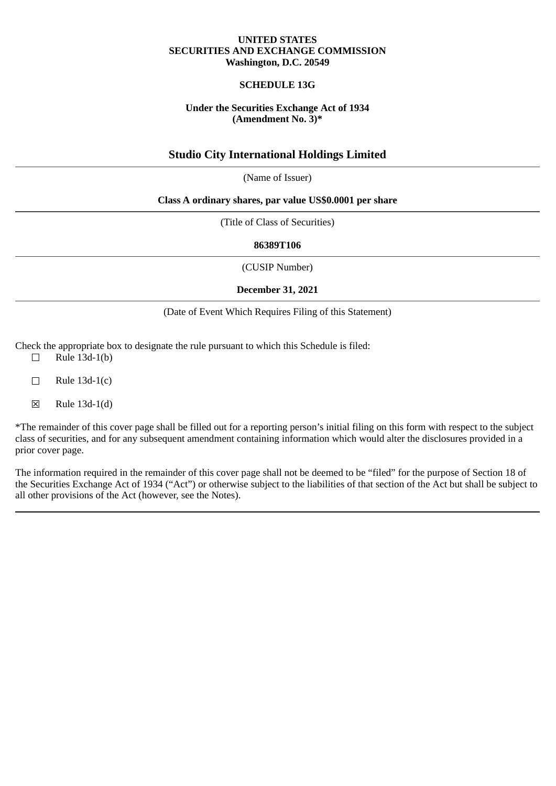### **UNITED STATES SECURITIES AND EXCHANGE COMMISSION Washington, D.C. 20549**

# **SCHEDULE 13G**

### **Under the Securities Exchange Act of 1934 (Amendment No. 3)\***

# **Studio City International Holdings Limited**

(Name of Issuer)

#### **Class A ordinary shares, par value US\$0.0001 per share**

(Title of Class of Securities)

**86389T106**

(CUSIP Number)

**December 31, 2021**

### (Date of Event Which Requires Filing of this Statement)

Check the appropriate box to designate the rule pursuant to which this Schedule is filed:

- $\Box$  Rule 13d-1(b)
- $\Box$  Rule 13d-1(c)
- ☒ Rule 13d-1(d)

\*The remainder of this cover page shall be filled out for a reporting person's initial filing on this form with respect to the subject class of securities, and for any subsequent amendment containing information which would alter the disclosures provided in a prior cover page.

The information required in the remainder of this cover page shall not be deemed to be "filed" for the purpose of Section 18 of the Securities Exchange Act of 1934 ("Act") or otherwise subject to the liabilities of that section of the Act but shall be subject to all other provisions of the Act (however, see the Notes).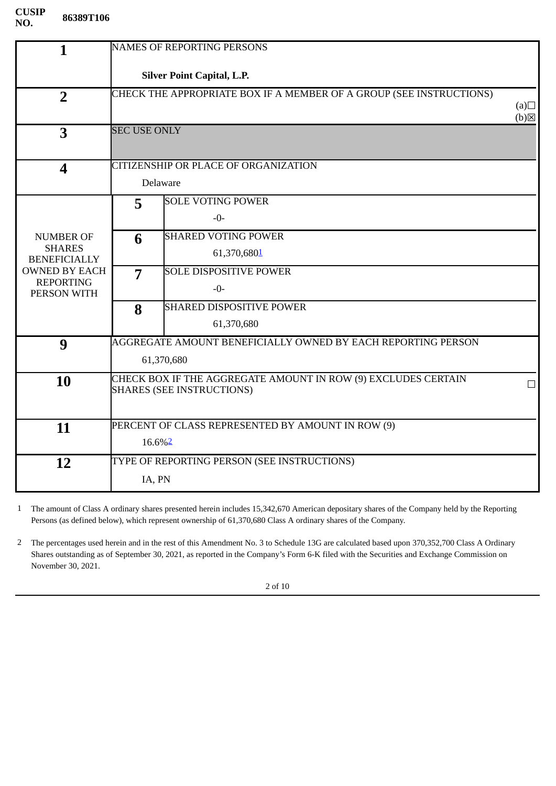| <b>Silver Point Capital, L.P.</b>                                                               |  |  |
|-------------------------------------------------------------------------------------------------|--|--|
| CHECK THE APPROPRIATE BOX IF A MEMBER OF A GROUP (SEE INSTRUCTIONS)<br>(a)<br>$(b)$ $\boxtimes$ |  |  |
| <b>SEC USE ONLY</b>                                                                             |  |  |
|                                                                                                 |  |  |
|                                                                                                 |  |  |
|                                                                                                 |  |  |
|                                                                                                 |  |  |
|                                                                                                 |  |  |
|                                                                                                 |  |  |
|                                                                                                 |  |  |
|                                                                                                 |  |  |
|                                                                                                 |  |  |
|                                                                                                 |  |  |
|                                                                                                 |  |  |
|                                                                                                 |  |  |
| П                                                                                               |  |  |
|                                                                                                 |  |  |
|                                                                                                 |  |  |
|                                                                                                 |  |  |
|                                                                                                 |  |  |
|                                                                                                 |  |  |
|                                                                                                 |  |  |

<span id="page-1-0"></span>1 The amount of Class A ordinary shares presented herein includes 15,342,670 American depositary shares of the Company held by the Reporting Persons (as defined below), which represent ownership of 61,370,680 Class A ordinary shares of the Company.

<span id="page-1-1"></span>2 The percentages used herein and in the rest of this Amendment No. 3 to Schedule 13G are calculated based upon 370,352,700 Class A Ordinary Shares outstanding as of September 30, 2021, as reported in the Company's Form 6-K filed with the Securities and Exchange Commission on November 30, 2021.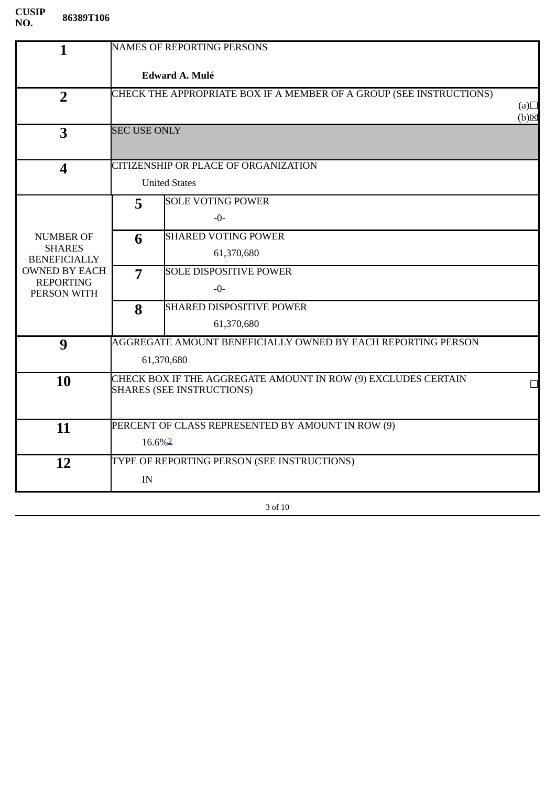| $\mathbf{1}$                         |                                                               | <b>NAMES OF REPORTING PERSONS</b>                                   |                          |
|--------------------------------------|---------------------------------------------------------------|---------------------------------------------------------------------|--------------------------|
|                                      | <b>Edward A. Mulé</b>                                         |                                                                     |                          |
| $\overline{2}$                       |                                                               | CHECK THE APPROPRIATE BOX IF A MEMBER OF A GROUP (SEE INSTRUCTIONS) |                          |
|                                      |                                                               |                                                                     | (a)<br>$(b)$ $\boxtimes$ |
| 3                                    | <b>SEC USE ONLY</b>                                           |                                                                     |                          |
|                                      |                                                               |                                                                     |                          |
| $\overline{\mathbf{4}}$              |                                                               | CITIZENSHIP OR PLACE OF ORGANIZATION                                |                          |
|                                      |                                                               | <b>United States</b>                                                |                          |
|                                      | 5                                                             | <b>SOLE VOTING POWER</b>                                            |                          |
|                                      |                                                               | $-0-$                                                               |                          |
| <b>NUMBER OF</b>                     | 6                                                             | <b>SHARED VOTING POWER</b>                                          |                          |
| <b>SHARES</b><br><b>BENEFICIALLY</b> |                                                               | 61,370,680                                                          |                          |
| <b>OWNED BY EACH</b>                 | $\overline{7}$                                                | <b>SOLE DISPOSITIVE POWER</b>                                       |                          |
| <b>REPORTING</b><br>PERSON WITH      |                                                               | $-0-$                                                               |                          |
|                                      | 8                                                             | <b>SHARED DISPOSITIVE POWER</b>                                     |                          |
|                                      |                                                               | 61,370,680                                                          |                          |
| 9                                    |                                                               | AGGREGATE AMOUNT BENEFICIALLY OWNED BY EACH REPORTING PERSON        |                          |
|                                      |                                                               | 61,370,680                                                          |                          |
| 10                                   | CHECK BOX IF THE AGGREGATE AMOUNT IN ROW (9) EXCLUDES CERTAIN |                                                                     |                          |
|                                      |                                                               | <b>SHARES (SEE INSTRUCTIONS)</b>                                    |                          |
|                                      |                                                               |                                                                     |                          |
| 11                                   |                                                               | PERCENT OF CLASS REPRESENTED BY AMOUNT IN ROW (9)                   |                          |
|                                      | 16.6% <sup>2</sup>                                            |                                                                     |                          |
| 12                                   | TYPE OF REPORTING PERSON (SEE INSTRUCTIONS)                   |                                                                     |                          |
|                                      | IN                                                            |                                                                     |                          |
|                                      |                                                               |                                                                     |                          |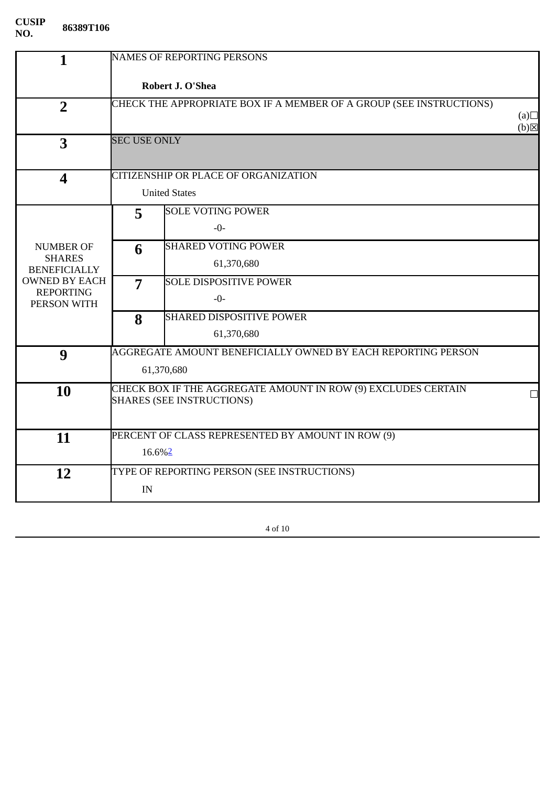| $\mathbf{1}$                         | <b>NAMES OF REPORTING PERSONS</b>                                   |                                                              |                          |
|--------------------------------------|---------------------------------------------------------------------|--------------------------------------------------------------|--------------------------|
|                                      | Robert J. O'Shea                                                    |                                                              |                          |
| $\overline{2}$                       | CHECK THE APPROPRIATE BOX IF A MEMBER OF A GROUP (SEE INSTRUCTIONS) |                                                              |                          |
|                                      |                                                                     |                                                              | (a)<br>$(b)$ $\boxtimes$ |
| $\overline{\mathbf{3}}$              | <b>SEC USE ONLY</b>                                                 |                                                              |                          |
|                                      |                                                                     |                                                              |                          |
| $\overline{\mathbf{4}}$              |                                                                     | CITIZENSHIP OR PLACE OF ORGANIZATION                         |                          |
|                                      |                                                                     | <b>United States</b>                                         |                          |
|                                      | 5                                                                   | <b>SOLE VOTING POWER</b>                                     |                          |
|                                      |                                                                     | $-0-$                                                        |                          |
| <b>NUMBER OF</b>                     | 6                                                                   | <b>SHARED VOTING POWER</b>                                   |                          |
| <b>SHARES</b><br><b>BENEFICIALLY</b> |                                                                     | 61,370,680                                                   |                          |
| <b>OWNED BY EACH</b>                 | 7                                                                   | <b>SOLE DISPOSITIVE POWER</b>                                |                          |
| <b>REPORTING</b><br>PERSON WITH      |                                                                     | $-0-$                                                        |                          |
|                                      | 8                                                                   | <b>SHARED DISPOSITIVE POWER</b>                              |                          |
|                                      |                                                                     | 61,370,680                                                   |                          |
| 9                                    |                                                                     | AGGREGATE AMOUNT BENEFICIALLY OWNED BY EACH REPORTING PERSON |                          |
|                                      |                                                                     | 61,370,680                                                   |                          |
| 10                                   | CHECK BOX IF THE AGGREGATE AMOUNT IN ROW (9) EXCLUDES CERTAIN       |                                                              |                          |
|                                      |                                                                     | <b>SHARES (SEE INSTRUCTIONS)</b>                             |                          |
|                                      |                                                                     |                                                              |                          |
| 11                                   |                                                                     | PERCENT OF CLASS REPRESENTED BY AMOUNT IN ROW (9)            |                          |
|                                      | 16.6% <sup>2</sup>                                                  |                                                              |                          |
| 12                                   |                                                                     | TYPE OF REPORTING PERSON (SEE INSTRUCTIONS)                  |                          |
|                                      | IN                                                                  |                                                              |                          |
|                                      |                                                                     |                                                              |                          |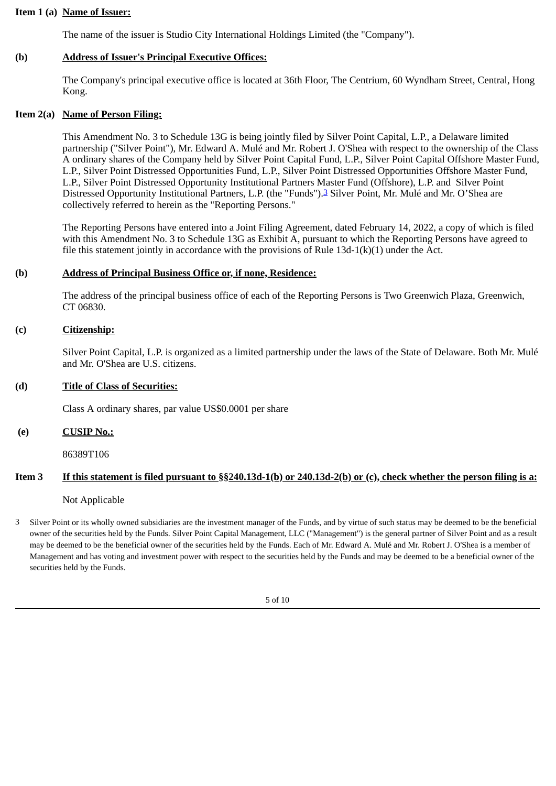### **Item 1 (a) Name of Issuer:**

The name of the issuer is Studio City International Holdings Limited (the "Company").

# **(b) Address of Issuer's Principal Executive Offices:**

The Company's principal executive office is located at 36th Floor, The Centrium, 60 Wyndham Street, Central, Hong Kong.

# **Item 2(a) Name of Person Filing:**

This Amendment No. 3 to Schedule 13G is being jointly filed by Silver Point Capital, L.P., a Delaware limited partnership ("Silver Point"), Mr. Edward A. Mulé and Mr. Robert J. O'Shea with respect to the ownership of the Class A ordinary shares of the Company held by Silver Point Capital Fund, L.P., Silver Point Capital Offshore Master Fund, L.P., Silver Point Distressed Opportunities Fund, L.P., Silver Point Distressed Opportunities Offshore Master Fund, L.P., Silver Point Distressed Opportunity Institutional Partners Master Fund (Offshore), L.P. and Silver Point Distressed Opportunity Institutional Partners, L.P. (the "Funds").[3](#page-4-0) Silver Point, Mr. Mulé and Mr. O'Shea are collectively referred to herein as the "Reporting Persons."

The Reporting Persons have entered into a Joint Filing Agreement, dated February 14, 2022, a copy of which is filed with this Amendment No. 3 to Schedule 13G as Exhibit A, pursuant to which the Reporting Persons have agreed to file this statement jointly in accordance with the provisions of Rule 13d-1(k)(1) under the Act.

# **(b) Address of Principal Business Office or, if none, Residence:**

The address of the principal business office of each of the Reporting Persons is Two Greenwich Plaza, Greenwich, CT 06830.

#### **(c) Citizenship:**

Silver Point Capital, L.P. is organized as a limited partnership under the laws of the State of Delaware. Both Mr. Mulé and Mr. O'Shea are U.S. citizens.

# **(d) Title of Class of Securities:**

Class A ordinary shares, par value US\$0.0001 per share

# **(e) CUSIP No.:**

86389T106

# **Item 3 If this statement is filed pursuant to §§240.13d-1(b) or 240.13d-2(b) or (c), check whether the person filing is a:**

Not Applicable

<span id="page-4-0"></span>3 Silver Point or its wholly owned subsidiaries are the investment manager of the Funds, and by virtue of such status may be deemed to be the beneficial owner of the securities held by the Funds. Silver Point Capital Management, LLC ("Management") is the general partner of Silver Point and as a result may be deemed to be the beneficial owner of the securities held by the Funds. Each of Mr. Edward A. Mulé and Mr. Robert J. O'Shea is a member of Management and has voting and investment power with respect to the securities held by the Funds and may be deemed to be a beneficial owner of the securities held by the Funds.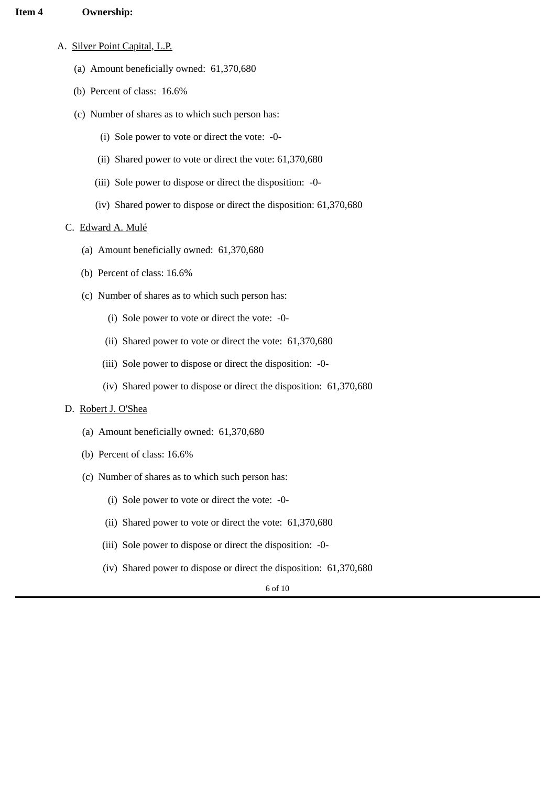#### **Item 4 Ownership:**

- A. Silver Point Capital, L.P.
	- (a) Amount beneficially owned: 61,370,680
	- (b) Percent of class: 16.6%
	- (c) Number of shares as to which such person has:
		- (i) Sole power to vote or direct the vote: -0-
		- (ii) Shared power to vote or direct the vote: 61,370,680
		- (iii) Sole power to dispose or direct the disposition: -0-
		- (iv) Shared power to dispose or direct the disposition: 61,370,680

#### C. Edward A. Mulé

- (a) Amount beneficially owned: 61,370,680
- (b) Percent of class: 16.6%
- (c) Number of shares as to which such person has:
	- (i) Sole power to vote or direct the vote: -0-
	- (ii) Shared power to vote or direct the vote: 61,370,680
	- (iii) Sole power to dispose or direct the disposition: -0-
	- (iv) Shared power to dispose or direct the disposition: 61,370,680

#### D. Robert J. O'Shea

- (a) Amount beneficially owned: 61,370,680
- (b) Percent of class: 16.6%
- (c) Number of shares as to which such person has:
	- (i) Sole power to vote or direct the vote: -0-
	- (ii) Shared power to vote or direct the vote: 61,370,680
	- (iii) Sole power to dispose or direct the disposition: -0-
	- (iv) Shared power to dispose or direct the disposition: 61,370,680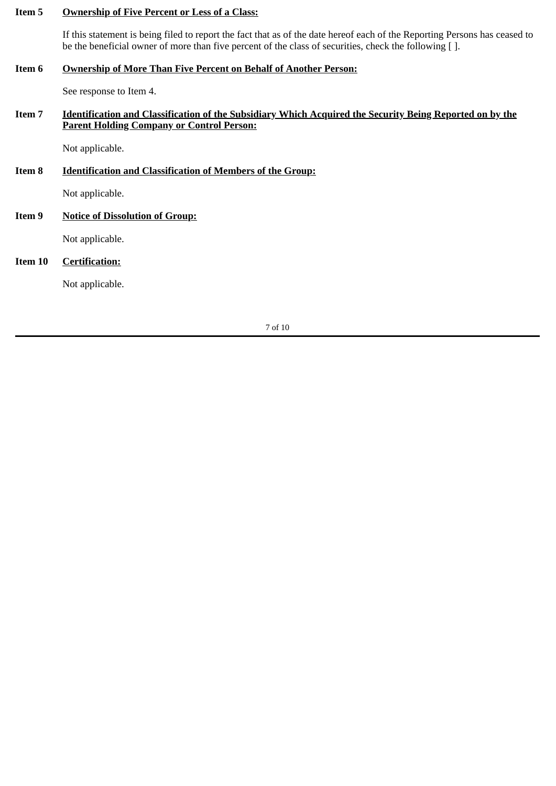# **Item 5 Ownership of Five Percent or Less of a Class:**

If this statement is being filed to report the fact that as of the date hereof each of the Reporting Persons has ceased to be the beneficial owner of more than five percent of the class of securities, check the following [ ].

# **Item 6 Ownership of More Than Five Percent on Behalf of Another Person:**

See response to Item 4.

# **Item 7 Identification and Classification of the Subsidiary Which Acquired the Security Being Reported on by the Parent Holding Company or Control Person:**

Not applicable.

# **Item 8 Identification and Classification of Members of the Group:**

Not applicable.

# **Item 9 Notice of Dissolution of Group:**

Not applicable.

# **Item 10 Certification:**

Not applicable.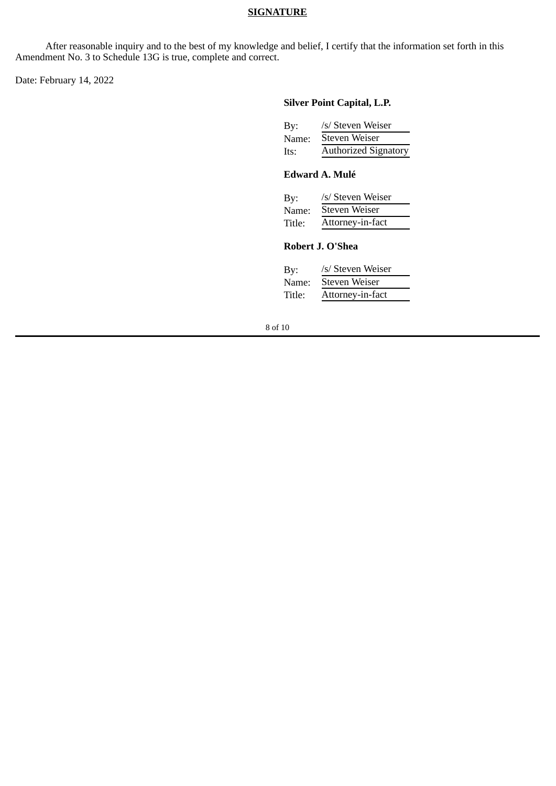### **SIGNATURE**

After reasonable inquiry and to the best of my knowledge and belief, I certify that the information set forth in this Amendment No. 3 to Schedule 13G is true, complete and correct.

Date: February 14, 2022

#### **Silver Point Capital, L.P.**

| By:   | /s/ Steven Weiser           |
|-------|-----------------------------|
| Name: | Steven Weiser               |
| Its:  | <b>Authorized Signatory</b> |

# **Edward A. Mulé**

| By:    | /s/ Steven Weiser    |
|--------|----------------------|
| Name:  | <b>Steven Weiser</b> |
| Title: | Attorney-in-fact     |

# **Robert J. O'Shea**

| By:    | /s/ Steven Weiser    |
|--------|----------------------|
| Name:  | <b>Steven Weiser</b> |
| Title: | Attorney-in-fact     |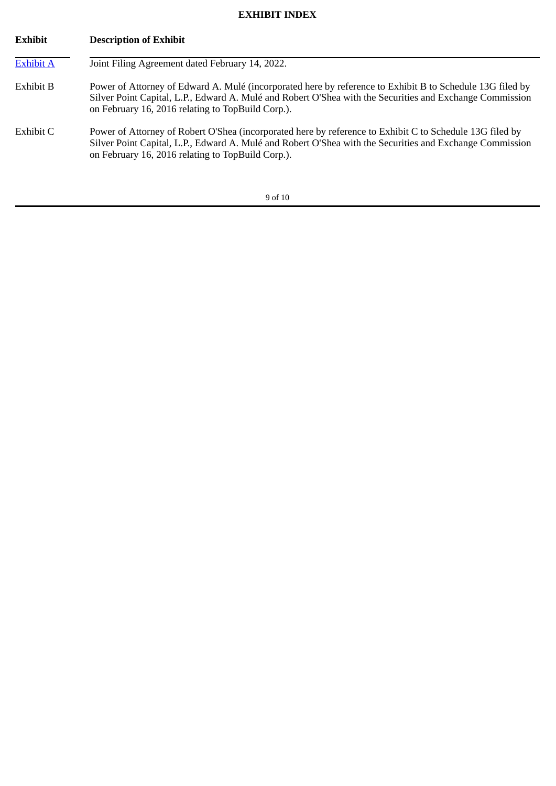# **EXHIBIT INDEX**

| <b>Exhibit</b>   | <b>Description of Exhibit</b>                                                                                                                                                                                                                                              |
|------------------|----------------------------------------------------------------------------------------------------------------------------------------------------------------------------------------------------------------------------------------------------------------------------|
| <b>Exhibit A</b> | Joint Filing Agreement dated February 14, 2022.                                                                                                                                                                                                                            |
| Exhibit B        | Power of Attorney of Edward A. Mulé (incorporated here by reference to Exhibit B to Schedule 13G filed by<br>Silver Point Capital, L.P., Edward A. Mulé and Robert O'Shea with the Securities and Exchange Commission<br>on February 16, 2016 relating to TopBuild Corp.). |
| Exhibit C        | Power of Attorney of Robert O'Shea (incorporated here by reference to Exhibit C to Schedule 13G filed by<br>Silver Point Capital, L.P., Edward A. Mulé and Robert O'Shea with the Securities and Exchange Commission<br>on February 16, 2016 relating to TopBuild Corp.).  |